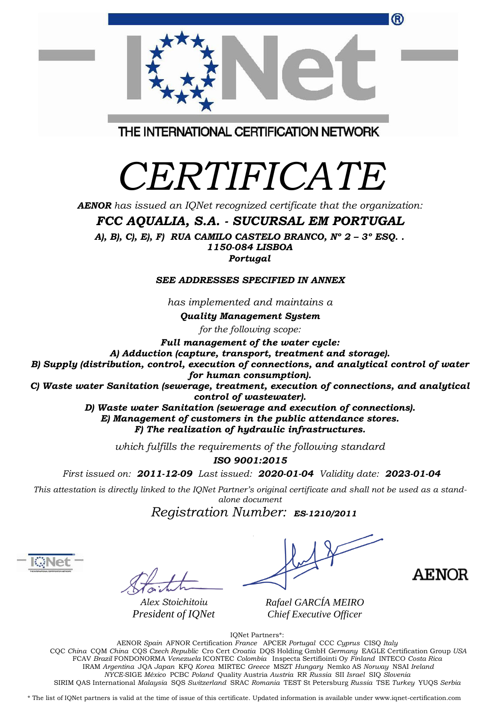| (R)                                                                                     |
|-----------------------------------------------------------------------------------------|
|                                                                                         |
| THE INTERNATIONAL CERTIFICATION NETWORK                                                 |
|                                                                                         |
| <i>CERTIFICATE</i>                                                                      |
| <b>AENOR</b> has issued an IQNet recognized certificate that the organization:          |
| FCC AQUALIA, S.A. - SUCURSAL EM PORTUGAL                                                |
| A), B), C), E), F) RUA CAMILO CASTELO BRANCO, $N^{\circ}$ 2 - 3° ESQ<br>1150-084 LISBOA |
| Portugal                                                                                |

## *SEE ADDRESSES SPECIFIED IN ANNEX*

*has implemented and maintains a*

*Quality Management System*

*for the following scope:*

*Full management of the water cycle:*

*A) Adduction (capture, transport, treatment and storage).*

*B) Supply (distribution, control, execution of connections, and analytical control of water*

*for human consumption).*

*C) Waste water Sanitation (sewerage, treatment, execution of connections, and analytical control of wastewater).*

> *D) Waste water Sanitation (sewerage and execution of connections). E) Management of customers in the public attendance stores. F) The realization of hydraulic infrastructures.*

*which fulfills the requirements of the following standard*

*ISO 9001:2015*

*First issued on: 2011-12-09 Last issued: 2020-01-04 Validity date: 2023-01-04*

This attestation is directly linked to the IQNet Partner's original certificate and shall not be used as a stand*alone document*

*Registration Number: ES-1210/2011*

*R Alex Stoichitoiu afael GARCÍA MEIRO President of IQNet*



*Chief Executive Officer*

IQNet Partners\*:

AENOR *Spain* AFNOR Certification *France* APCER *Portugal* CCC *Cyprus* CISQ *Italy* CQC *China* CQM *China* CQS *Czech Republic* Cro Cert *Croatia* DQS Holding GmbH *Germany* EAGLE Certification Group *USA* FCAV *Brazil* FONDONORMA *Venezuela* ICONTEC *Colombia* Inspecta Sertifiointi Oy *Finland* INTECO *Costa Rica* IRAM *Argentina* JQA *Japan* KFQ *Korea* MIRTEC *Greece* MSZT *Hungary* Nemko AS *Norway* NSAI *Ireland NYCE-*SIGE *México* PCBC *Poland* Quality Austria *Austria* RR *Russia* SII *Israel* SIQ *Slovenia* SIRIM QAS International *Malaysia* SQS *Switzerland* SRAC *Romania* TEST St Petersburg *Russia* TSE *Turkey* YUQS *Serbia*

\* The list of IQNet partners is valid at the time of issue of this certificate. Updated information is available under www.iqnet-certification.com